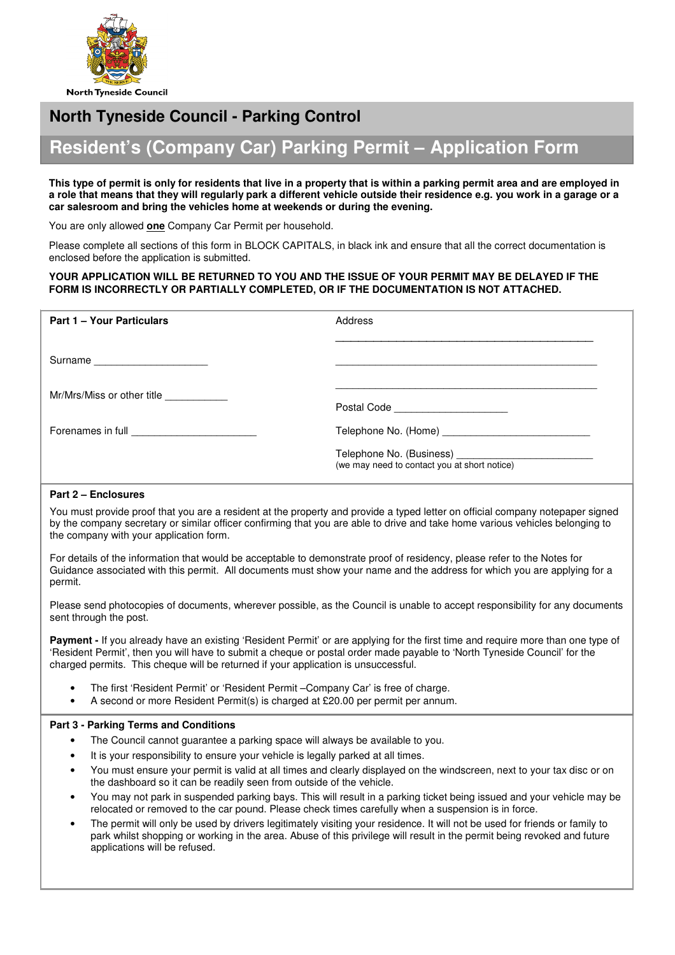

## **North Tyneside Council - Parking Control**

# **Resident's (Company Car) Parking Permit – Application Form**

#### **This type of permit is only for residents that live in a property that is within a parking permit area and are employed in a role that means that they will regularly park a different vehicle outside their residence e.g. you work in a garage or a car salesroom and bring the vehicles home at weekends or during the evening.**

You are only allowed **one** Company Car Permit per household.

Please complete all sections of this form in BLOCK CAPITALS, in black ink and ensure that all the correct documentation is enclosed before the application is submitted.

## **YOUR APPLICATION WILL BE RETURNED TO YOU AND THE ISSUE OF YOUR PERMIT MAY BE DELAYED IF THE FORM IS INCORRECTLY OR PARTIALLY COMPLETED, OR IF THE DOCUMENTATION IS NOT ATTACHED.**

| <b>Part 1 - Your Particulars</b> | Address                                      |
|----------------------------------|----------------------------------------------|
| Surname                          |                                              |
| Mr/Mrs/Miss or other title       | Postal Code ______________________           |
|                                  |                                              |
|                                  | (we may need to contact you at short notice) |

## **Part 2 – Enclosures**

You must provide proof that you are a resident at the property and provide a typed letter on official company notepaper signed by the company secretary or similar officer confirming that you are able to drive and take home various vehicles belonging to the company with your application form.

For details of the information that would be acceptable to demonstrate proof of residency, please refer to the Notes for Guidance associated with this permit. All documents must show your name and the address for which you are applying for a permit.

Please send photocopies of documents, wherever possible, as the Council is unable to accept responsibility for any documents sent through the post.

**Payment - If you already have an existing 'Resident Permit' or are applying for the first time and require more than one type of** 'Resident Permit', then you will have to submit a cheque or postal order made payable to 'North Tyneside Council' for the charged permits. This cheque will be returned if your application is unsuccessful.

- The first 'Resident Permit' or 'Resident Permit Company Car' is free of charge.
- A second or more Resident Permit(s) is charged at £20.00 per permit per annum.

## **Part 3 - Parking Terms and Conditions**

- The Council cannot guarantee a parking space will always be available to you.
- It is your responsibility to ensure your vehicle is legally parked at all times.
- You must ensure your permit is valid at all times and clearly displayed on the windscreen, next to your tax disc or on the dashboard so it can be readily seen from outside of the vehicle.
- You may not park in suspended parking bays. This will result in a parking ticket being issued and your vehicle may be relocated or removed to the car pound. Please check times carefully when a suspension is in force.
- The permit will only be used by drivers legitimately visiting your residence. It will not be used for friends or family to park whilst shopping or working in the area. Abuse of this privilege will result in the permit being revoked and future applications will be refused.